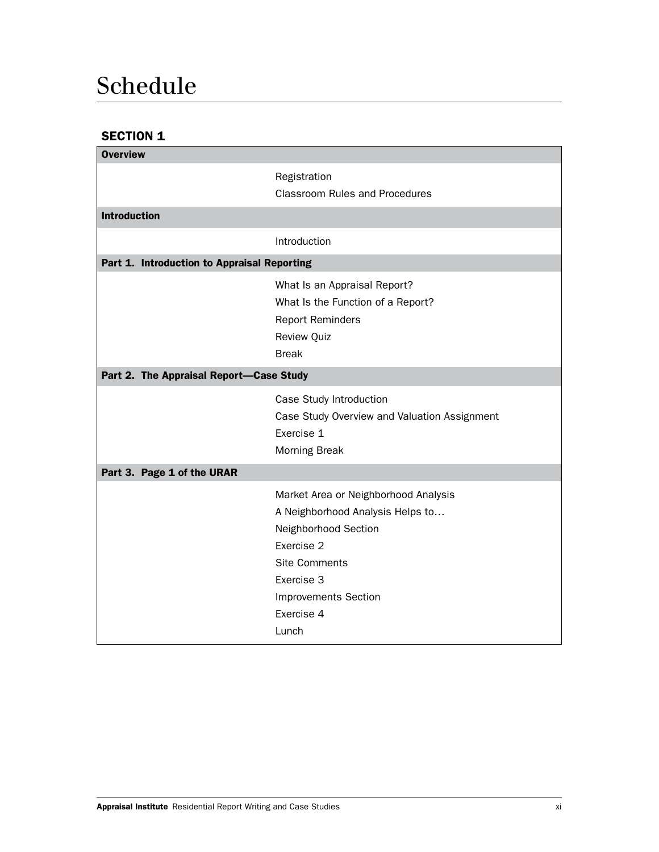# Schedule

## SECTION 1

| <b>Overview</b>                             |                                                                                                                                                                                                            |  |
|---------------------------------------------|------------------------------------------------------------------------------------------------------------------------------------------------------------------------------------------------------------|--|
|                                             | Registration<br><b>Classroom Rules and Procedures</b>                                                                                                                                                      |  |
| <b>Introduction</b>                         |                                                                                                                                                                                                            |  |
|                                             | Introduction                                                                                                                                                                                               |  |
| Part 1. Introduction to Appraisal Reporting |                                                                                                                                                                                                            |  |
|                                             | What Is an Appraisal Report?<br>What Is the Function of a Report?<br><b>Report Reminders</b><br><b>Review Quiz</b><br><b>Break</b>                                                                         |  |
| Part 2. The Appraisal Report-Case Study     |                                                                                                                                                                                                            |  |
|                                             | Case Study Introduction<br>Case Study Overview and Valuation Assignment<br>Exercise 1<br>Morning Break                                                                                                     |  |
| Part 3. Page 1 of the URAR                  |                                                                                                                                                                                                            |  |
|                                             | Market Area or Neighborhood Analysis<br>A Neighborhood Analysis Helps to<br>Neighborhood Section<br>Exercise 2<br><b>Site Comments</b><br>Exercise 3<br><b>Improvements Section</b><br>Exercise 4<br>Lunch |  |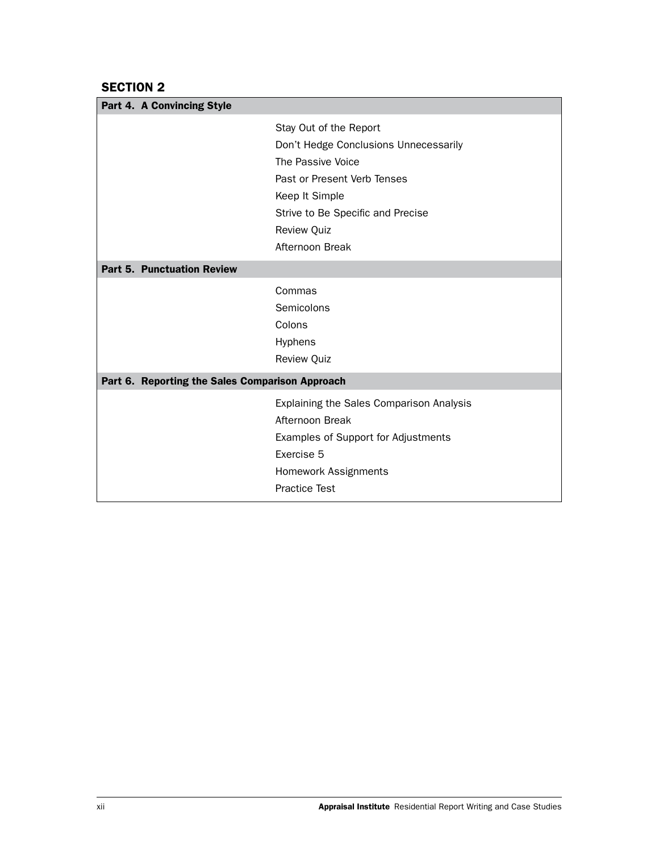#### SECTION 2

| Part 4. A Convincing Style                      |                                          |
|-------------------------------------------------|------------------------------------------|
|                                                 | Stay Out of the Report                   |
|                                                 | Don't Hedge Conclusions Unnecessarily    |
|                                                 | The Passive Voice                        |
|                                                 | Past or Present Verb Tenses              |
|                                                 | Keep It Simple                           |
|                                                 | Strive to Be Specific and Precise        |
|                                                 | <b>Review Quiz</b>                       |
|                                                 | Afternoon Break                          |
| <b>Part 5. Punctuation Review</b>               |                                          |
|                                                 |                                          |
|                                                 | Commas                                   |
|                                                 | Semicolons                               |
|                                                 | Colons                                   |
|                                                 | Hyphens                                  |
|                                                 | <b>Review Quiz</b>                       |
| Part 6. Reporting the Sales Comparison Approach |                                          |
|                                                 | Explaining the Sales Comparison Analysis |
|                                                 | Afternoon Break                          |
|                                                 | Examples of Support for Adjustments      |
|                                                 | Exercise 5                               |
|                                                 | <b>Homework Assignments</b>              |
|                                                 |                                          |
|                                                 | <b>Practice Test</b>                     |